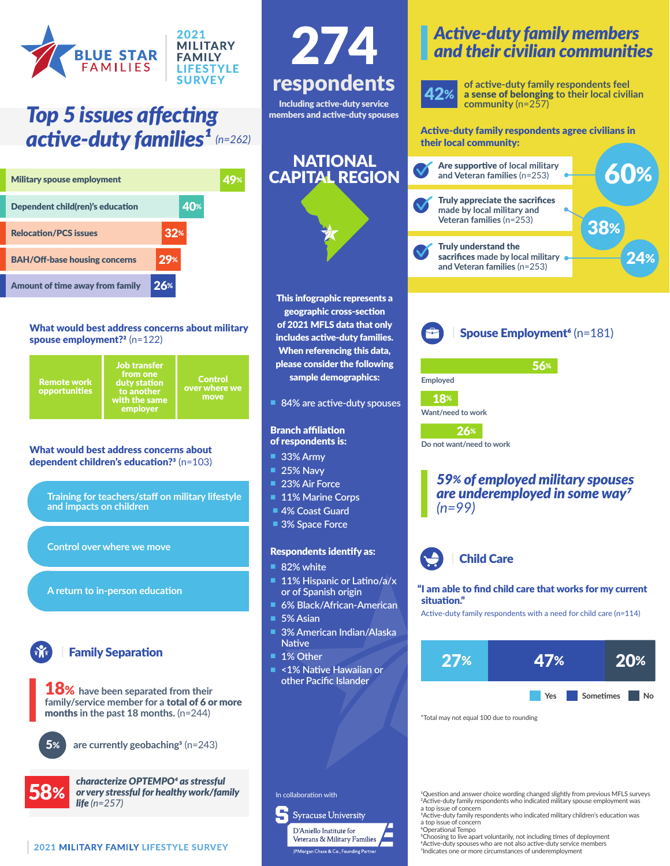

## *Top 5 issues affecting*  **active-duty families<sup>1</sup>** (n=262) **Active-duty family respondents agree civilians in**

| <b>Military spouse employment</b>    |       |  |
|--------------------------------------|-------|--|
| Dependent child(ren)'s education     | 40%   |  |
| <b>Relocation/PCS issues</b>         | $32*$ |  |
| <b>BAH/Off-base housing concerns</b> | 29%   |  |
| Amount of time away from family      | 26%   |  |

#### What would best address concerns about military spouse employment?<sup>2</sup> (n=122)

**Control** over where we Remote work opportunities from one duty station to another with the same employer

#### What would best address concerns about dependent children's education?<sup>3</sup> (n=103)

**Training for teachers/staff on military lifestyle and impacts on children**

**Control over where we move**

**A return to in-person education**

## **Family Separation**

18% **have been separated from their family/service member for a** total of 6 or more months **in the past 18 months.** (n=244)

**are currently geobaching5** (n=243)



5%

*characterize OPTEMPO4 as stressful*   $58%$  or very stressful for healthy work/family life  $(n=257)$ 



## respondents Including active-duty service members and active-duty spouses 274

#### NATIONAL CAPITAL REGION



This infographic represents a geographic cross-section of 2021 MFLS data that only includes active-duty families. When referencing this data, please consider the following sample demographics:

n **84% are active-duty spouses**

#### Branch affiliation of respondents is:

n **33% Army**

- **25% Navy**
- 
- **23% Air Force 11% Marine Corps**
- n **4% Coast Guard**
- **3% Space Force**

#### Respondents identify as:

- **82% white**
- 11% Hispanic or Latino/a/x **or of Spanish origin**
- n **6% Black/African-American**
- 5% Asian
- n **3% American Indian/Alaska Native**
- 1% Other
- n **<1% Native Hawaiian or other Pacific Islander**

## *Active-duty family members and their civilian communities*



**of active-duty family respondents feel**  a sense of belonging **to their local civilian community** (n=257)

their local community:



**Spouse Employment<sup>6</sup>** (n=181)

56%

**Employed Want/need to work** 18%

26%

**Do not want/need to work**

#### *59% of employed military spouses are underemployed in some way7 (n=99)*



#### "I am able to find child care that works for my current situation."

Active-duty family respondents with a need for child care (n=114)



\*Total may not equal 100 due to rounding

1Question and answer choice wording changed slightly from previous MFLS surveys 2Active-duty family respondents who indicated military spouse employment was a top issue of concern

3Active-duty family respondents who indicated military children's education was a top issue of concern

4Operational Tempo 5Choosing to live apart voluntarily, not including times of deployment 6Active-duty spouses who are not also active-duty service members <sup>7</sup>Indicates one or more circumstances of underemployment

**Syracuse University** 



In collaboration with